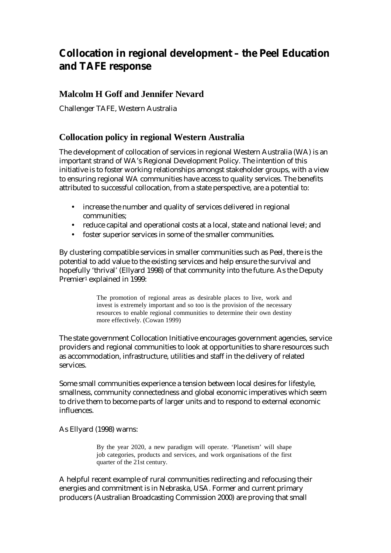# **Collocation in regional development – the Peel Education and TAFE response**

# **Malcolm H Goff and Jennifer Nevard**

Challenger TAFE, Western Australia

# **Collocation policy in regional Western Australia**

The development of collocation of services in regional Western Australia (WA) is an important strand of WA's Regional Development Policy. The intention of this initiative is to foster working relationships amongst stakeholder groups, with a view to ensuring regional WA communities have access to quality services. The benefits attributed to successful collocation, from a state perspective, are a potential to:

- increase the number and quality of services delivered in regional communities;
- reduce capital and operational costs at a local, state and national level; and
- foster superior services in some of the smaller communities.

By clustering compatible services in smaller communities such as Peel, there is the potential to add value to the existing services and help ensure the survival and hopefully 'thrival' (Ellyard 1998) of that community into the future. As the Deputy Premier<sup>1</sup> explained in 1999:

> The promotion of regional areas as desirable places to live, work and invest is extremely important and so too is the provision of the necessary resources to enable regional communities to determine their own destiny more effectively. (Cowan 1999)

The state government Collocation Initiative encourages government agencies, service providers and regional communities to look at opportunities to share resources such as accommodation, infrastructure, utilities and staff in the delivery of related services.

Some small communities experience a tension between local desires for lifestyle, smallness, community connectedness and global economic imperatives which seem to drive them to become parts of larger units and to respond to external economic influences.

As Ellyard (1998) warns:

By the year 2020, a new paradigm will operate. 'Planetism' will shape job categories, products and services, and work organisations of the first quarter of the 21st century.

A helpful recent example of rural communities redirecting and refocusing their energies and commitment is in Nebraska, USA. Former and current primary producers (Australian Broadcasting Commission 2000) are proving that small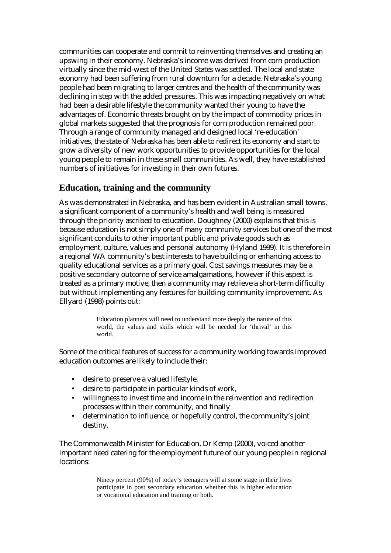communities can cooperate and commit to reinventing themselves and creating an upswing in their economy. Nebraska's income was derived from corn production virtually since the mid-west of the United States was settled. The local and state economy had been suffering from rural downturn for a decade. Nebraska's young people had been migrating to larger centres and the health of the community was declining in step with the added pressures. This was impacting negatively on what had been a desirable lifestyle the community wanted their young to have the advantages of. Economic threats brought on by the impact of commodity prices in global markets suggested that the prognosis for corn production remained poor. Through a range of community managed and designed local 're-education' initiatives, the state of Nebraska has been able to redirect its economy and start to grow a diversity of new work opportunities to provide opportunities for the local young people to remain in these small communities. As well, they have established numbers of initiatives for investing in their own futures.

# **Education, training and the community**

As was demonstrated in Nebraska, and has been evident in Australian small towns, a significant component of a community's health and well being is measured through the priority ascribed to education. Doughney (2000) explains that this is because education is not simply one of many community services but one of the most significant conduits to other important public and private goods such as employment, culture, values and personal autonomy (Hyland 1999). It is therefore in a regional WA community's best interests to have building or enhancing access to quality educational services as a primary goal. Cost savings measures may be a positive secondary outcome of service amalgamations, however if this aspect is treated as a primary motive, then a community may retrieve a short-term difficulty but without implementing any features for building community improvement. As Ellyard (1998) points out:

> Education planners will need to understand more deeply the nature of this world, the values and skills which will be needed for 'thrival' in this world.

Some of the critical features of success for a community working towards improved education outcomes are likely to include their:

- desire to preserve a valued lifestyle,
- desire to participate in particular kinds of work,
- willingness to invest time and income in the reinvention and redirection processes within their community, and finally
- determination to influence, or hopefully control, the community's joint destiny.

The Commonwealth Minister for Education, Dr Kemp (2000), voiced another important need catering for the employment future of our young people in regional locations:

> Ninety percent (90%) of today's teenagers will at some stage in their lives participate in post secondary education whether this is higher education or vocational education and training or both.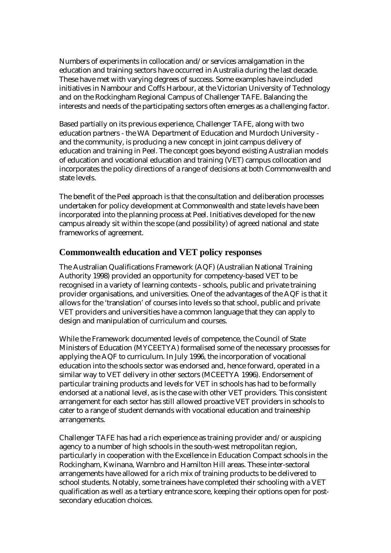Numbers of experiments in collocation and/or services amalgamation in the education and training sectors have occurred in Australia during the last decade. These have met with varying degrees of success. Some examples have included initiatives in Nambour and Coffs Harbour, at the Victorian University of Technology and on the Rockingham Regional Campus of Challenger TAFE. Balancing the interests and needs of the participating sectors often emerges as a challenging factor.

Based partially on its previous experience, Challenger TAFE, along with two education partners - the WA Department of Education and Murdoch University and the community, is producing a new concept in joint campus delivery of education and training in Peel. The concept goes beyond existing Australian models of education and vocational education and training (VET) campus collocation and incorporates the policy directions of a range of decisions at both Commonwealth and state levels.

The benefit of the Peel approach is that the consultation and deliberation processes undertaken for policy development at Commonwealth and state levels have been incorporated into the planning process at Peel. Initiatives developed for the new campus already sit within the scope (and possibility) of agreed national and state frameworks of agreement.

# **Commonwealth education and VET policy responses**

The Australian Qualifications Framework (AQF) (Australian National Training Authority 1998) provided an opportunity for competency-based VET to be recognised in a variety of learning contexts - schools, public and private training provider organisations, and universities. One of the advantages of the AQF is that it allows for the 'translation' of courses into levels so that school, public and private VET providers and universities have a common language that they can apply to design and manipulation of curriculum and courses.

While the Framework documented levels of competence, the Council of State Ministers of Education (MYCEETYA) formalised some of the necessary processes for applying the AQF to curriculum. In July 1996, the incorporation of vocational education into the schools sector was endorsed and, hence forward, operated in a similar way to VET delivery in other sectors (MCEETYA 1996). Endorsement of particular training products and levels for VET in schools has had to be formally endorsed at a national level, as is the case with other VET providers. This consistent arrangement for each sector has still allowed proactive VET providers in schools to cater to a range of student demands with vocational education and traineeship arrangements.

Challenger TAFE has had a rich experience as training provider and/or auspicing agency to a number of high schools in the south-west metropolitan region, particularly in cooperation with the Excellence in Education Compact schools in the Rockingham, Kwinana, Warnbro and Hamilton Hill areas. These inter-sectoral arrangements have allowed for a rich mix of training products to be delivered to school students. Notably, some trainees have completed their schooling with a VET qualification as well as a tertiary entrance score, keeping their options open for postsecondary education choices.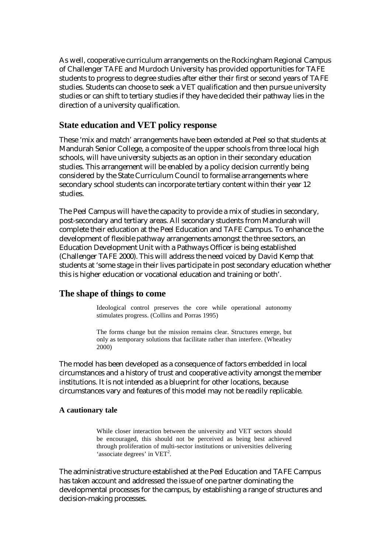As well, cooperative curriculum arrangements on the Rockingham Regional Campus of Challenger TAFE and Murdoch University has provided opportunities for TAFE students to progress to degree studies after either their first or second years of TAFE studies. Students can choose to seek a VET qualification and then pursue university studies or can shift to tertiary studies if they have decided their pathway lies in the direction of a university qualification.

## **State education and VET policy response**

These 'mix and match' arrangements have been extended at Peel so that students at Mandurah Senior College, a composite of the upper schools from three local high schools, will have university subjects as an option in their secondary education studies. This arrangement will be enabled by a policy decision currently being considered by the State Curriculum Council to formalise arrangements where secondary school students can incorporate tertiary content within their year 12 studies.

The Peel Campus will have the capacity to provide a mix of studies in secondary, post-secondary and tertiary areas. All secondary students from Mandurah will complete their education at the Peel Education and TAFE Campus. To enhance the development of flexible pathway arrangements amongst the three sectors, an Education Development Unit with a Pathways Officer is being established (Challenger TAFE 2000). This will address the need voiced by David Kemp that students at 'some stage in their lives participate in post secondary education whether this is higher education or vocational education and training or both'.

### **The shape of things to come**

Ideological control preserves the core while operational autonomy stimulates progress. (Collins and Porras 1995)

The forms change but the mission remains clear. Structures emerge, but only as temporary solutions that facilitate rather than interfere. (Wheatley 2000)

The model has been developed as a consequence of factors embedded in local circumstances and a history of trust and cooperative activity amongst the member institutions. It is not intended as a blueprint for other locations, because circumstances vary and features of this model may not be readily replicable.

#### **A cautionary tale**

While closer interaction between the university and VET sectors should be encouraged, this should not be perceived as being best achieved through proliferation of multi-sector institutions or universities delivering 'associate degrees' in VET<sup>2</sup>.

The administrative structure established at the Peel Education and TAFE Campus has taken account and addressed the issue of one partner dominating the developmental processes for the campus, by establishing a range of structures and decision-making processes.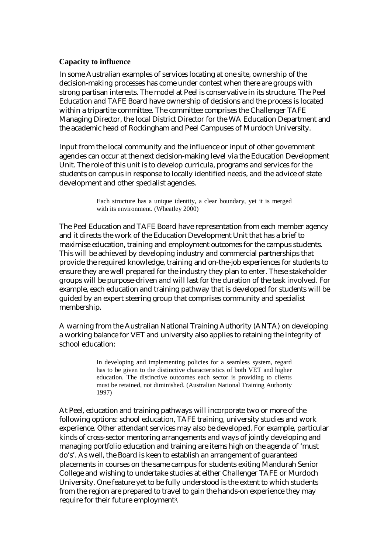#### **Capacity to influence**

In some Australian examples of services locating at one site, ownership of the decision-making processes has come under contest when there are groups with strong partisan interests. The model at Peel is conservative in its structure. The Peel Education and TAFE Board have ownership of decisions and the process is located within a tripartite committee. The committee comprises the Challenger TAFE Managing Director, the local District Director for the WA Education Department and the academic head of Rockingham and Peel Campuses of Murdoch University.

Input from the local community and the influence or input of other government agencies can occur at the next decision-making level via the Education Development Unit. The role of this unit is to develop curricula, programs and services for the students on campus in response to locally identified needs, and the advice of state development and other specialist agencies.

> Each structure has a unique identity, a clear boundary, yet it is merged with its environment. (Wheatley 2000)

The Peel Education and TAFE Board have representation from each member agency and it directs the work of the Education Development Unit that has a brief to maximise education, training and employment outcomes for the campus students. This will be achieved by developing industry and commercial partnerships that provide the required knowledge, training and on-the-job experiences for students to ensure they are well prepared for the industry they plan to enter. These stakeholder groups will be purpose-driven and will last for the duration of the task involved. For example, each education and training pathway that is developed for students will be guided by an expert steering group that comprises community and specialist membership.

A warning from the Australian National Training Authority (ANTA) on developing a working balance for VET and university also applies to retaining the integrity of school education:

> In developing and implementing policies for a seamless system, regard has to be given to the distinctive characteristics of both VET and higher education. The distinctive outcomes each sector is providing to clients must be retained, not diminished. (Australian National Training Authority 1997)

At Peel, education and training pathways will incorporate two or more of the following options: school education, TAFE training, university studies and work experience. Other attendant services may also be developed. For example, particular kinds of cross-sector mentoring arrangements and ways of jointly developing and managing portfolio education and training are items high on the agenda of 'must do's'. As well, the Board is keen to establish an arrangement of guaranteed placements in courses on the same campus for students exiting Mandurah Senior College and wishing to undertake studies at either Challenger TAFE or Murdoch University. One feature yet to be fully understood is the extent to which students from the region are prepared to travel to gain the hands-on experience they may require for their future employment3.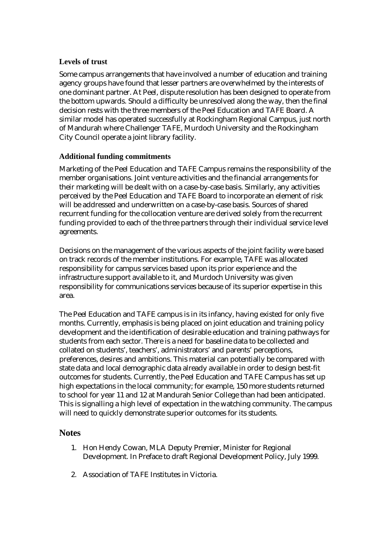## **Levels of trust**

Some campus arrangements that have involved a number of education and training agency groups have found that lesser partners are overwhelmed by the interests of one dominant partner. At Peel, dispute resolution has been designed to operate from the bottom upwards. Should a difficulty be unresolved along the way, then the final decision rests with the three members of the Peel Education and TAFE Board. A similar model has operated successfully at Rockingham Regional Campus, just north of Mandurah where Challenger TAFE, Murdoch University and the Rockingham City Council operate a joint library facility.

## **Additional funding commitments**

Marketing of the Peel Education and TAFE Campus remains the responsibility of the member organisations. Joint venture activities and the financial arrangements for their marketing will be dealt with on a case-by-case basis. Similarly, any activities perceived by the Peel Education and TAFE Board to incorporate an element of risk will be addressed and underwritten on a case-by-case basis. Sources of shared recurrent funding for the collocation venture are derived solely from the recurrent funding provided to each of the three partners through their individual service level agreements.

Decisions on the management of the various aspects of the joint facility were based on track records of the member institutions. For example, TAFE was allocated responsibility for campus services based upon its prior experience and the infrastructure support available to it, and Murdoch University was given responsibility for communications services because of its superior expertise in this area.

The Peel Education and TAFE campus is in its infancy, having existed for only five months. Currently, emphasis is being placed on joint education and training policy development and the identification of desirable education and training pathways for students from each sector. There is a need for baseline data to be collected and collated on students', teachers', administrators' and parents' perceptions, preferences, desires and ambitions. This material can potentially be compared with state data and local demographic data already available in order to design best-fit outcomes for students. Currently, the Peel Education and TAFE Campus has set up high expectations in the local community; for example, 150 more students returned to school for year 11 and 12 at Mandurah Senior College than had been anticipated. This is signalling a high level of expectation in the watching community. The campus will need to quickly demonstrate superior outcomes for its students.

# **Notes**

- 1. Hon Hendy Cowan, MLA Deputy Premier, Minister for Regional Development. In Preface to draft Regional Development Policy, July 1999.
- 2. Association of TAFE Institutes in Victoria.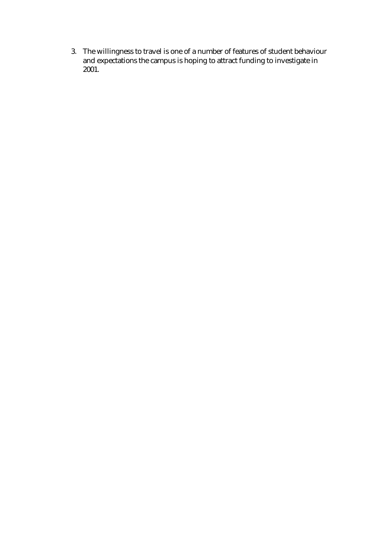3. The willingness to travel is one of a number of features of student behaviour and expectations the campus is hoping to attract funding to investigate in 2001.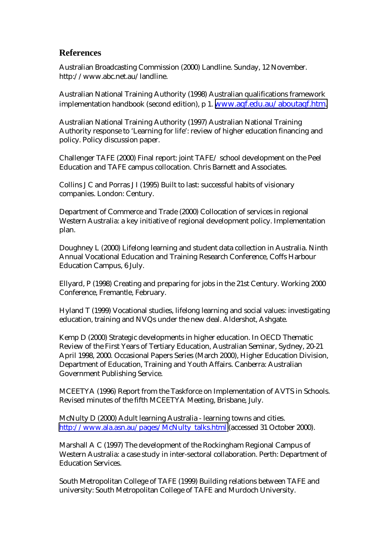# **References**

Australian Broadcasting Commission (2000) Landline. Sunday, 12 November. http://www.abc.net.au/landline.

Australian National Training Authority (1998) Australian qualifications framework implementation handbook (second edition), p 1. [www.aqf.edu.au/aboutaqf.htm.](http://www.aqf.edu.au/aboutaqf.htm) 

Australian National Training Authority (1997) Australian National Training Authority response to 'Learning for life': review of higher education financing and policy. Policy discussion paper.

Challenger TAFE (2000) Final report: joint TAFE/ school development on the Peel Education and TAFE campus collocation. Chris Barnett and Associates.

Collins J C and Porras J I (1995) Built to last: successful habits of visionary companies. London: Century.

Department of Commerce and Trade (2000) Collocation of services in regional Western Australia: a key initiative of regional development policy. Implementation plan.

Doughney L (2000) Lifelong learning and student data collection in Australia. Ninth Annual Vocational Education and Training Research Conference, Coffs Harbour Education Campus, 6 July.

Ellyard, P (1998) Creating and preparing for jobs in the 21st Century. Working 2000 Conference, Fremantle, February.

Hyland T (1999) Vocational studies, lifelong learning and social values: investigating education, training and NVQs under the new deal. Aldershot, Ashgate.

Kemp D (2000) Strategic developments in higher education. In OECD Thematic Review of the First Years of Tertiary Education, Australian Seminar, Sydney, 20-21 April 1998, 2000. Occasional Papers Series (March 2000), Higher Education Division, Department of Education, Training and Youth Affairs. Canberra: Australian Government Publishing Service.

MCEETYA (1996) Report from the Taskforce on Implementation of AVTS in Schools. Revised minutes of the fifth MCEETYA Meeting, Brisbane, July.

McNulty D (2000) Adult learning Australia - learning towns and cities. [http://www.ala.asn.au/pages/McNulty\\_talks.html](http://www.ala.asn.au/pages/McNulty_talks.html) (accessed 31 October 2000).

Marshall A C (1997) The development of the Rockingham Regional Campus of Western Australia: a case study in inter-sectoral collaboration. Perth: Department of Education Services.

South Metropolitan College of TAFE (1999) Building relations between TAFE and university: South Metropolitan College of TAFE and Murdoch University.